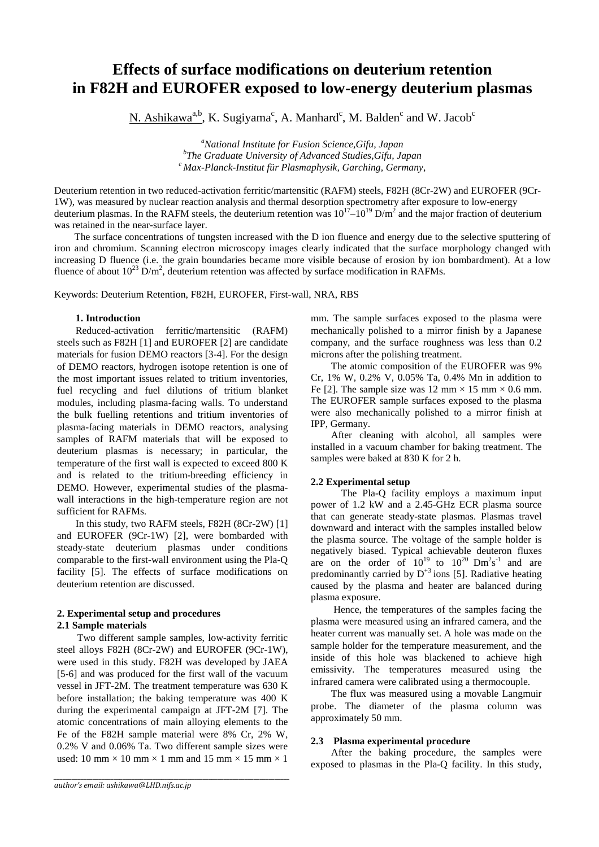# **Effects of surface modifications on deuterium retention in F82H and EUROFER exposed to low-energy deuterium plasmas**

 $N. Ashikawa<sup>a,b</sup>, K. Sugiyama<sup>c</sup>, A. Manhard<sup>c</sup>, M. Balden<sup>c</sup> and W. Jacob<sup>c</sup>$ 

<sup>a</sup>National Institute for Fusion Science, Gifu, Japan <sup>*b*</sup>The Graduate University of Advanced Studies, Gifu, Japan *The Graduate University of Advanced Studies,Gifu, Japan c Max-Planck-Institut für Plasmaphysik, Garching, Germany,* 

Deuterium retention in two reduced-activation ferritic/martensitic (RAFM) steels, F82H (8Cr-2W) and EUROFER (9Cr-1W), was measured by nuclear reaction analysis and thermal desorption spectrometry after exposure to low-energy deuterium plasmas. In the RAFM steels, the deuterium retention was  $10^{17} - 10^{19}$  D/m<sup>2</sup> and the major fraction of deuterium was retained in the near-surface layer.

The surface concentrations of tungsten increased with the D ion fluence and energy due to the selective sputtering of iron and chromium. Scanning electron microscopy images clearly indicated that the surface morphology changed with increasing D fluence (i.e. the grain boundaries became more visible because of erosion by ion bombardment). At a low fluence of about  $10^{23}$  D/m<sup>2</sup>, deuterium retention was affected by surface modification in RAFMs.

Keywords: Deuterium Retention, F82H, EUROFER, First-wall, NRA, RBS

# **1. Introduction**

Reduced-activation ferritic/martensitic (RAFM) steels such as F82H [1] and EUROFER [2] are candidate materials for fusion DEMO reactors [3-4]. For the design of DEMO reactors, hydrogen isotope retention is one of the most important issues related to tritium inventories, fuel recycling and fuel dilutions of tritium blanket modules, including plasma-facing walls. To understand the bulk fuelling retentions and tritium inventories of plasma-facing materials in DEMO reactors, analysing samples of RAFM materials that will be exposed to deuterium plasmas is necessary; in particular, the temperature of the first wall is expected to exceed 800 K and is related to the tritium-breeding efficiency in DEMO. However, experimental studies of the plasmawall interactions in the high-temperature region are not sufficient for RAFMs.

In this study, two RAFM steels, F82H (8Cr-2W) [1] and EUROFER (9Cr-1W) [2], were bombarded with steady-state deuterium plasmas under conditions comparable to the first-wall environment using the Pla-Q facility [5]. The effects of surface modifications on deuterium retention are discussed.

# **2. Experimental setup and procedures**

# **2.1 Sample materials**

Two different sample samples, low-activity ferritic steel alloys F82H (8Cr-2W) and EUROFER (9Cr-1W), were used in this study. F82H was developed by JAEA [5-6] and was produced for the first wall of the vacuum vessel in JFT-2M. The treatment temperature was 630 K before installation; the baking temperature was 400 K during the experimental campaign at JFT-2M [7]. The atomic concentrations of main alloying elements to the Fe of the F82H sample material were 8% Cr, 2% W, 0.2% V and 0.06% Ta. Two different sample sizes were used: 10 mm  $\times$  10 mm  $\times$  1 mm and 15 mm  $\times$  15 mm  $\times$  1

*\_\_\_\_\_\_\_\_\_\_\_\_\_\_\_\_\_\_\_\_\_\_\_\_\_\_\_\_\_\_\_\_\_\_\_\_\_\_\_\_\_\_\_\_\_\_\_\_\_\_\_\_\_\_\_\_\_\_\_\_\_\_\_\_\_\_\_\_\_\_\_\_\_\_\_\_\_\_\_*

mm. The sample surfaces exposed to the plasma were mechanically polished to a mirror finish by a Japanese company, and the surface roughness was less than 0.2 microns after the polishing treatment.

The atomic composition of the EUROFER was 9% Cr, 1% W, 0.2% V, 0.05% Ta, 0.4% Mn in addition to Fe [2]. The sample size was 12 mm  $\times$  15 mm  $\times$  0.6 mm. The EUROFER sample surfaces exposed to the plasma were also mechanically polished to a mirror finish at IPP, Germany.

After cleaning with alcohol, all samples were installed in a vacuum chamber for baking treatment. The samples were baked at 830 K for 2 h.

# **2.2 Experimental setup**

The Pla-Q facility employs a maximum input power of 1.2 kW and a 2.45-GHz ECR plasma source that can generate steady-state plasmas. Plasmas travel downward and interact with the samples installed below the plasma source. The voltage of the sample holder is negatively biased. Typical achievable deuteron fluxes are on the order of  $10^{19}$  to  $10^{20}$  Dm<sup>2</sup>s<sup>-1</sup> and are predominantly carried by  $D^{+3}$  ions [5]. Radiative heating caused by the plasma and heater are balanced during plasma exposure.

Hence, the temperatures of the samples facing the plasma were measured using an infrared camera, and the heater current was manually set. A hole was made on the sample holder for the temperature measurement, and the inside of this hole was blackened to achieve high emissivity. The temperatures measured using the infrared camera were calibrated using a thermocouple.

The flux was measured using a movable Langmuir probe. The diameter of the plasma column was approximately 50 mm.

# **2.3 Plasma experimental procedure**

After the baking procedure, the samples were exposed to plasmas in the Pla-Q facility. In this study,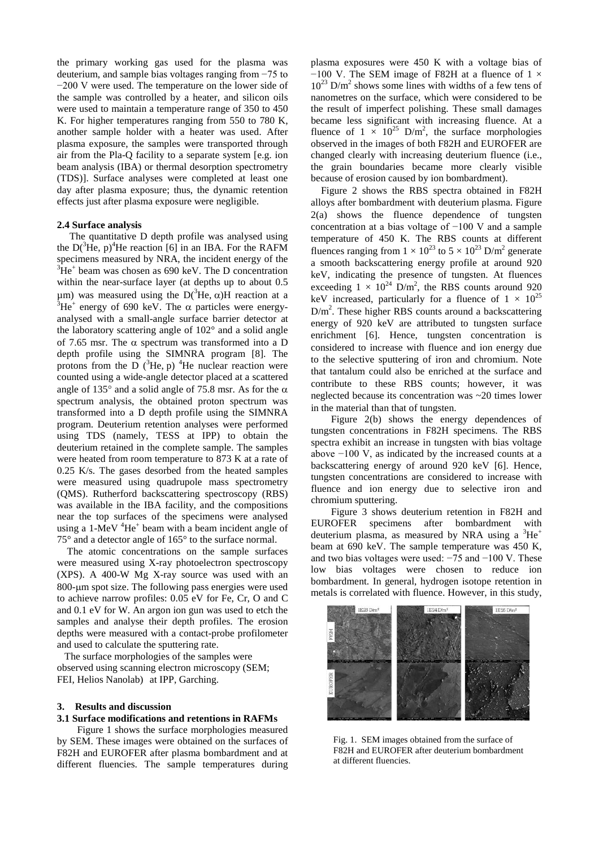the primary working gas used for the plasma was deuterium, and sample bias voltages ranging from −75 to −200 V were used. The temperature on the lower side of the sample was controlled by a heater, and silicon oils were used to maintain a temperature range of 350 to 450 K. For higher temperatures ranging from 550 to 780 K, another sample holder with a heater was used. After plasma exposure, the samples were transported through air from the Pla-Q facility to a separate system [e.g. ion beam analysis (IBA) or thermal desorption spectrometry (TDS)]. Surface analyses were completed at least one day after plasma exposure; thus, the dynamic retention effects just after plasma exposure were negligible.

#### **2.4 Surface analysis**

 The quantitative D depth profile was analysed using the  $D(^{3}He, p)^{4}He$  reaction [6] in an IBA. For the RAFM specimens measured by NRA, the incident energy of the  ${}^{3}$ He<sup>+</sup> beam was chosen as 690 keV. The D concentration within the near-surface layer (at depths up to about 0.5 μm) was measured using the D(<sup>3</sup>He, α)H reaction at a  $3He^+$  energy of 690 keV. The α particles were energy  ${}^{3}$ He<sup>+</sup> energy of 690 keV. The  $\alpha$  particles were energyanalysed with a small-angle surface barrier detector at the laboratory scattering angle of 102° and a solid angle of 7.65 msr. The α spectrum was transformed into a D depth profile using the SIMNRA program [8]. The protons from the D  $(^{3}He, p)$  <sup>4</sup>He nuclear reaction were counted using a wide-angle detector placed at a scattered angle of 135 $^{\circ}$  and a solid angle of 75.8 msr. As for the  $\alpha$ spectrum analysis, the obtained proton spectrum was transformed into a D depth profile using the SIMNRA program. Deuterium retention analyses were performed using TDS (namely, TESS at IPP) to obtain the deuterium retained in the complete sample. The samples were heated from room temperature to 873 K at a rate of 0.25 K/s. The gases desorbed from the heated samples were measured using quadrupole mass spectrometry (QMS). Rutherford backscattering spectroscopy (RBS) was available in the IBA facility, and the compositions near the top surfaces of the specimens were analysed using a 1-MeV  ${}^{4}$ He<sup>+</sup> beam with a beam incident angle of 75° and a detector angle of 165° to the surface normal.

 The atomic concentrations on the sample surfaces were measured using X-ray photoelectron spectroscopy (XPS). A 400-W Mg X-ray source was used with an 800-µm spot size. The following pass energies were used to achieve narrow profiles: 0.05 eV for Fe, Cr, O and C and 0.1 eV for W. An argon ion gun was used to etch the samples and analyse their depth profiles. The erosion depths were measured with a [contact-probe profilometer](http://ejje.weblio.jp/content/contact+probe+profilometer) and used to calculate the sputtering rate.

 The surface morphologies of the samples were observed using scanning electron microscopy (SEM; FEI, Helios Nanolab) at IPP, Garching.

## **3. Results and discussion**

## **3.1 Surface modifications and retentions in RAFMs**

Figure 1 shows the surface morphologies measured by SEM. These images were obtained on the surfaces of F82H and EUROFER after plasma bombardment and at different fluencies. The sample temperatures during

plasma exposures were 450 K with a voltage bias of  $-100$  V. The SEM image of F82H at a fluence of 1  $\times$  $10^{23}$  D/m<sup>2</sup> shows some lines with widths of a few tens of nanometres on the surface, which were considered to be the result of imperfect polishing. These small damages became less significant with increasing fluence. At a fluence of  $1 \times 10^{25}$  D/m<sup>2</sup>, the surface morphologies observed in the images of both F82H and EUROFER are changed clearly with increasing deuterium fluence (i.e., the grain boundaries became more clearly visible because of erosion caused by ion bombardment).

 Figure 2 shows the RBS spectra obtained in F82H alloys after bombardment with deuterium plasma. Figure 2(a) shows the fluence dependence of tungsten concentration at a bias voltage of −100 V and a sample temperature of 450 K. The RBS counts at different fluences ranging from  $1 \times 10^{23}$  to  $5 \times 10^{23}$  D/m<sup>2</sup> generate a smooth backscattering energy profile at around 920 keV, indicating the presence of tungsten. At fluences exceeding  $1 \times 10^{24}$  D/m<sup>2</sup>, the RBS counts around 920 keV increased, particularly for a fluence of  $1 \times 10^{25}$  $D/m<sup>2</sup>$ . These higher RBS counts around a backscattering energy of 920 keV are attributed to tungsten surface enrichment [6]. Hence, tungsten concentration is considered to increase with fluence and ion energy due to the selective sputtering of iron and chromium. Note that tantalum could also be enriched at the surface and contribute to these RBS counts; however, it was neglected because its concentration was ~20 times lower in the material than that of tungsten.

Figure 2(b) shows the energy dependences of tungsten concentrations in F82H specimens. The RBS spectra exhibit an increase in tungsten with bias voltage above −100 V, as indicated by the increased counts at a backscattering energy of around 920 keV [6]. Hence, tungsten concentrations are considered to increase with fluence and ion energy due to selective iron and chromium sputtering.

Figure 3 shows deuterium retention in F82H and EUROFER specimens after bombardment with deuterium plasma, as measured by NRA using a  ${}^{3}He^{+}$ beam at 690 keV. The sample temperature was 450 K, and two bias voltages were used: −75 and −100 V. These low bias voltages were chosen to reduce ion bombardment. In general, hydrogen isotope retention in metals is correlated with fluence. However, in this study,



Fig. 1. SEM images obtained from the surface of F82H and EUROFER after deuterium bombardment at different fluencies.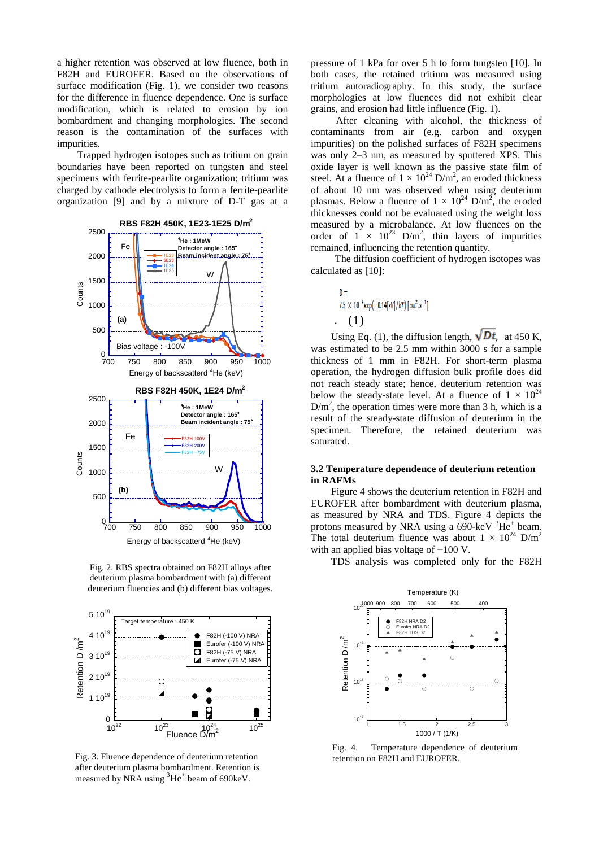a higher retention was observed at low fluence, both in F82H and EUROFER. Based on the observations of surface modification (Fig. 1), we consider two reasons for the difference in fluence dependence. One is surface modification, which is related to erosion by ion bombardment and changing morphologies. The second reason is the contamination of the surfaces with impurities.

Trapped hydrogen isotopes such as tritium on grain boundaries have been reported on tungsten and steel specimens with ferrite-pearlite organization; tritium was charged by cathode electrolysis to form a ferrite-pearlite organization [9] and by a mixture of D-T gas at a



Fig. 2. RBS spectra obtained on F82H alloys after deuterium plasma bombardment with (a) different deuterium fluencies and (b) different bias voltages.



Fig. 3. Fluence dependence of deuterium retention after deuterium plasma bombardment. Retention is measured by NRA using  ${}^{3}\text{He}^{+}$  beam of 690keV.

pressure of 1 kPa for over 5 h to form tungsten [10]. In both cases, the retained tritium was measured using tritium autoradiography. In this study, the surface morphologies at low fluences did not exhibit clear grains, and erosion had little influence (Fig. 1).

After cleaning with alcohol, the thickness of contaminants from air (e.g. carbon and oxygen impurities) on the polished surfaces of F82H specimens was only 2–3 nm, as measured by sputtered XPS. This oxide layer is well known as the passive state film of steel. At a fluence of  $1 \times 10^{24}$  D/m<sup>2</sup>, an eroded thickness of about 10 nm was observed when using deuterium plasmas. Below a fluence of  $1 \times 10^{24}$  D/m<sup>2</sup>, the eroded thicknesses could not be evaluated using the weight loss measured by a microbalance. At low fluences on the order of  $1 \times 10^{23}$  D/m<sup>2</sup>, thin layers of impurities remained, influencing the retention quantity.

The diffusion coefficient of hydrogen isotopes was calculated as [10]:

. (1)

Using Eq. (1), the diffusion length,  $\sqrt{Dt}$ , at 450 K, was estimated to be 2.5 mm within 3000 s for a sample thickness of 1 mm in F82H. For short-term plasma operation, the hydrogen diffusion bulk profile does did not reach steady state; hence, deuterium retention was below the steady-state level. At a fluence of  $1 \times 10^{24}$  $D/m<sup>2</sup>$ , the operation times were more than 3 h, which is a result of the steady-state diffusion of deuterium in the specimen. Therefore, the retained deuterium was saturated.

## **3.2 Temperature dependence of deuterium retention in RAFMs**

Figure 4 shows the deuterium retention in F82H and EUROFER after bombardment with deuterium plasma, as measured by NRA and TDS. Figure 4 depicts the protons measured by NRA using a 690-keV  ${}^{3}$ He<sup>+</sup> beam. The total deuterium fluence was about  $1 \times 10^{24}$  D/m<sup>2</sup> with an applied bias voltage of −100 V.

TDS analysis was completed only for the F82H



Fig. 4. Temperature dependence of deuterium retention on F82H and EUROFER.